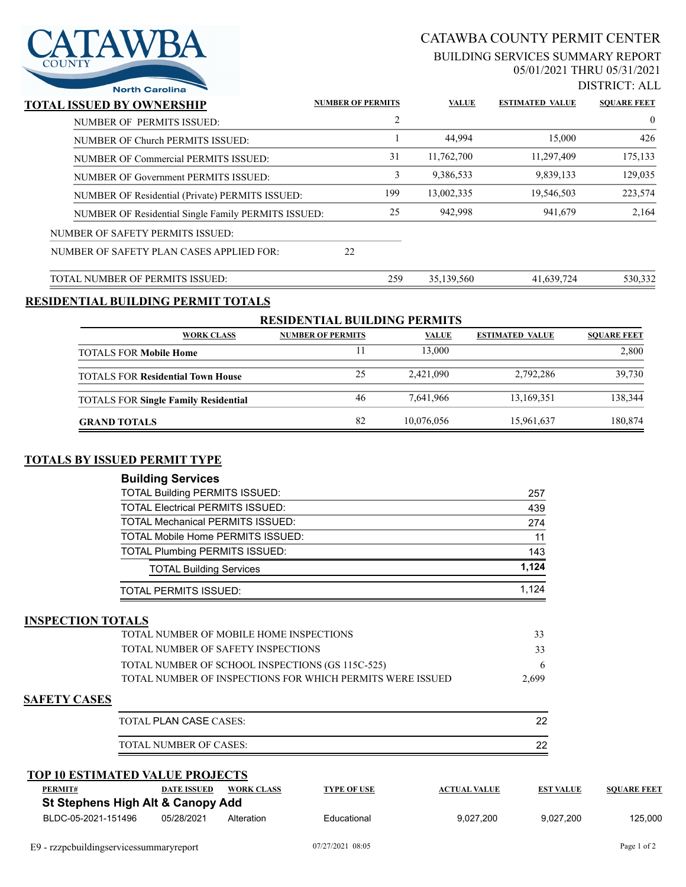

# CATAWBA COUNTY PERMIT CENTER

#### BUILDING SERVICES SUMMARY REPORT 05/01/2021 THRU 05/31/2021

DISTRICT: ALL

| <b>North Carolina</b>                               |                          |     |              |                        | DISTING LALI       |
|-----------------------------------------------------|--------------------------|-----|--------------|------------------------|--------------------|
| <b>TOTAL ISSUED BY OWNERSHIP</b>                    | <b>NUMBER OF PERMITS</b> |     | <b>VALUE</b> | <b>ESTIMATED VALUE</b> | <b>SOUARE FEET</b> |
| NUMBER OF PERMITS ISSUED:                           |                          | 2   |              |                        | $\overline{0}$     |
| NUMBER OF Church PERMITS ISSUED:                    |                          |     | 44,994       | 15,000                 | 426                |
| NUMBER OF Commercial PERMITS ISSUED:                | 31                       |     | 11,762,700   | 11,297,409             | 175,133            |
| NUMBER OF Government PERMITS ISSUED:                |                          | 3   | 9,386,533    | 9,839,133              | 129,035            |
| NUMBER OF Residential (Private) PERMITS ISSUED:     | 199                      |     | 13,002,335   | 19,546,503             | 223,574            |
| NUMBER OF Residential Single Family PERMITS ISSUED: |                          | 25  | 942,998      | 941,679                | 2,164              |
| NUMBER OF SAFETY PERMITS ISSUED:                    |                          |     |              |                        |                    |
| NUMBER OF SAFETY PLAN CASES APPLIED FOR:            | 22                       |     |              |                        |                    |
| TOTAL NUMBER OF PERMITS ISSUED:                     |                          | 259 | 35,139,560   | 41,639,724             | 530,332            |
| RESIDENTIAL BUILDING PERMIT TOTALS                  |                          |     |              |                        |                    |

| <b>RESIDENTIAL BUILDING PERMITS</b>         |                          |              |                        |                    |  |  |  |
|---------------------------------------------|--------------------------|--------------|------------------------|--------------------|--|--|--|
| <b>WORK CLASS</b>                           | <b>NUMBER OF PERMITS</b> | <b>VALUE</b> | <b>ESTIMATED VALUE</b> | <b>SOUARE FEET</b> |  |  |  |
| <b>TOTALS FOR Mobile Home</b>               |                          | 13,000       |                        | 2,800              |  |  |  |
| <b>TOTALS FOR Residential Town House</b>    | 25                       | 2.421,090    | 2,792,286              | 39,730             |  |  |  |
| <b>TOTALS FOR Single Family Residential</b> | 46                       | 7.641.966    | 13,169,351             | 138,344            |  |  |  |
| <b>GRAND TOTALS</b>                         | 82                       | 10,076,056   | 15,961,637             | 180,874            |  |  |  |

#### **TOTALS BY ISSUED PERMIT TYPE**

| <b>Building Services</b>                 |       |
|------------------------------------------|-------|
| <b>TOTAL Building PERMITS ISSUED:</b>    | 257   |
| <b>TOTAL Electrical PERMITS ISSUED:</b>  | 439   |
| <b>TOTAL Mechanical PERMITS ISSUED:</b>  | 274   |
| <b>TOTAL Mobile Home PERMITS ISSUED:</b> | 11    |
| <b>TOTAL Plumbing PERMITS ISSUED:</b>    | 143   |
| <b>TOTAL Building Services</b>           | 1.124 |
| TOTAL PERMITS ISSUED:                    | 1.124 |

#### **INSPECTION TOTALS**

| <b>TOTAL NUMBER OF MOBILE HOME INSPECTIONS</b>               | 33    |
|--------------------------------------------------------------|-------|
| TOTAL NUMBER OF SAFETY INSPECTIONS                           | 33    |
| TOTAL NUMBER OF SCHOOL INSPECTIONS (GS 115C-525)             |       |
| - TOTAL NUMBER OF INSPECTIONS FOR WHICH PERMITS WERE ISSUED. | 2,699 |

#### **SAFETY CASES**

| TOTAL PLAN CASE CASES: | ົດ |
|------------------------|----|
| TOTAL NUMBER OF CASES: | ົດ |

### **TOP 10 ESTIMATED VALUE PROJECTS**

| PERMIT#                           | DATE ISSUED | <b>WORK CLASS</b> | <b>TYPE OF USE</b> | <b>ACTUAL VALUE</b> | <b>EST VALUE</b> | <b>SOUARE FEET</b> |  |
|-----------------------------------|-------------|-------------------|--------------------|---------------------|------------------|--------------------|--|
| St Stephens High Alt & Canopy Add |             |                   |                    |                     |                  |                    |  |
| BLDC-05-2021-151496               | 05/28/2021  | Alteration        | Educational        | 9.027.200           | 9.027.200        | 125.000            |  |